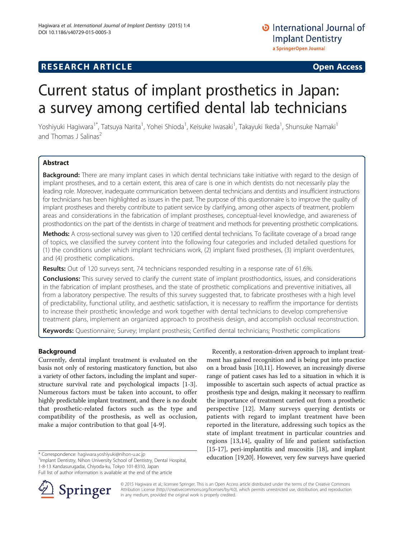# **RESEARCH ARTICLE Example 2014 CONSUMING A RESEARCH ARTICLE**

# Current status of implant prosthetics in Japan: a survey among certified dental lab technicians

Yoshiyuki Hagiwara<sup>1\*</sup>, Tatsuya Narita<sup>1</sup>, Yohei Shioda<sup>1</sup>, Keisuke Iwasaki<sup>1</sup>, Takayuki Ikeda<sup>1</sup>, Shunsuke Namaki<sup>1</sup> and Thomas J Salinas<sup>2</sup>

# Abstract

Background: There are many implant cases in which dental technicians take initiative with regard to the design of implant prostheses, and to a certain extent, this area of care is one in which dentists do not necessarily play the leading role. Moreover, inadequate communication between dental technicians and dentists and insufficient instructions for technicians has been highlighted as issues in the past. The purpose of this questionnaire is to improve the quality of implant prostheses and thereby contribute to patient service by clarifying, among other aspects of treatment, problem areas and considerations in the fabrication of implant prostheses, conceptual-level knowledge, and awareness of prosthodontics on the part of the dentists in charge of treatment and methods for preventing prosthetic complications.

Methods: A cross-sectional survey was given to 120 certified dental technicians. To facilitate coverage of a broad range of topics, we classified the survey content into the following four categories and included detailed questions for (1) the conditions under which implant technicians work, (2) implant fixed prostheses, (3) implant overdentures, and (4) prosthetic complications.

Results: Out of 120 surveys sent, 74 technicians responded resulting in a response rate of 61.6%.

**Conclusions:** This survey served to clarify the current state of implant prosthodontics, issues, and considerations in the fabrication of implant prostheses, and the state of prosthetic complications and preventive initiatives, all from a laboratory perspective. The results of this survey suggested that, to fabricate prostheses with a high level of predictability, functional utility, and aesthetic satisfaction, it is necessary to reaffirm the importance for dentists to increase their prosthetic knowledge and work together with dental technicians to develop comprehensive treatment plans, implement an organized approach to prosthesis design, and accomplish occlusal reconstruction.

Keywords: Questionnaire; Survey; Implant prosthesis; Certified dental technicians; Prosthetic complications

## Background

Currently, dental implant treatment is evaluated on the basis not only of restoring masticatory function, but also a variety of other factors, including the implant and superstructure survival rate and psychological impacts [\[1](#page-9-0)-[3](#page-9-0)]. Numerous factors must be taken into account, to offer highly predictable implant treatment, and there is no doubt that prosthetic-related factors such as the type and compatibility of the prosthesis, as well as occlusion, make a major contribution to that goal [[4-9](#page-9-0)].

<sup>1</sup>Implant Dentistry, Nihon University School of Dentistry, Dental Hospital,

Full list of author information is available at the end of the article



Recently, a restoration-driven approach to implant treatment has gained recognition and is being put into practice on a broad basis [\[10,11\]](#page-9-0). However, an increasingly diverse range of patient cases has led to a situation in which it is impossible to ascertain such aspects of actual practice as prosthesis type and design, making it necessary to reaffirm the importance of treatment carried out from a prosthetic perspective [[12](#page-9-0)]. Many surveys querying dentists or patients with regard to implant treatment have been reported in the literature, addressing such topics as the state of implant treatment in particular countries and regions [[13,14](#page-9-0)], quality of life and patient satisfaction [[15](#page-9-0)-[17\]](#page-9-0), peri-implantitis and mucositis [[18](#page-9-0)], and implant \* Correspondence: hagiwara.yoshiyuki@nihon-u.ac.jp education [[19,20\]](#page-9-0). However, very few surveys have queried <sup>1</sup> mplant Dentistry. Nihon University School of Dentistry. Dental Hospital education [19,20]. However, very few

> © 2015 Hagiwara et al.; licensee Springer. This is an Open Access article distributed under the terms of the Creative Commons Attribution License [\(http://creativecommons.org/licenses/by/4.0\)](http://creativecommons.org/licenses/by/4.0), which permits unrestricted use, distribution, and reproduction in any medium, provided the original work is properly credited.

<sup>1-8-13</sup> Kandasurugadai, Chiyoda-ku, Tokyo 101-8310, Japan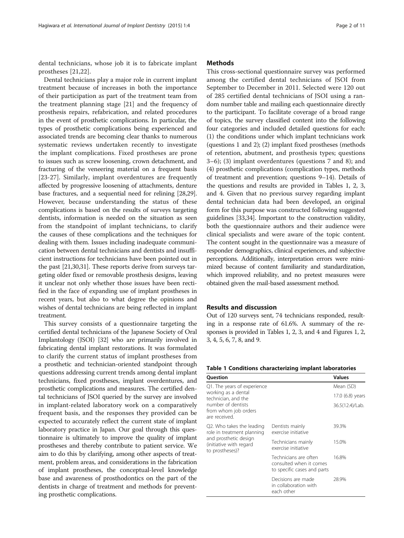<span id="page-1-0"></span>dental technicians, whose job it is to fabricate implant prostheses [\[21](#page-9-0),[22\]](#page-9-0).

Dental technicians play a major role in current implant treatment because of increases in both the importance of their participation as part of the treatment team from the treatment planning stage [\[21\]](#page-9-0) and the frequency of prosthesis repairs, refabrication, and related procedures in the event of prosthetic complications. In particular, the types of prosthetic complications being experienced and associated trends are becoming clear thanks to numerous systematic reviews undertaken recently to investigate the implant complications. Fixed prostheses are prone to issues such as screw loosening, crown detachment, and fracturing of the veneering material on a frequent basis [[23-27\]](#page-9-0). Similarly, implant overdentures are frequently affected by progressive loosening of attachments, denture base fractures, and a sequential need for relining [\[28,29](#page-9-0)]. However, because understanding the status of these complications is based on the results of surveys targeting dentists, information is needed on the situation as seen from the standpoint of implant technicians, to clarify the causes of these complications and the techniques for dealing with them. Issues including inadequate communication between dental technicians and dentists and insufficient instructions for technicians have been pointed out in the past [[21,30,31\]](#page-9-0). These reports derive from surveys targeting older fixed or removable prosthesis designs, leaving it unclear not only whether those issues have been rectified in the face of expanding use of implant prostheses in recent years, but also to what degree the opinions and wishes of dental technicians are being reflected in implant treatment.

This survey consists of a questionnaire targeting the certified dental technicians of the Japanese Society of Oral Implantology (JSOI) [\[32\]](#page-9-0) who are primarily involved in fabricating dental implant restorations. It was formulated to clarify the current status of implant prostheses from a prosthetic and technician-oriented standpoint through questions addressing current trends among dental implant technicians, fixed prostheses, implant overdentures, and prosthetic complications and measures. The certified dental technicians of JSOI queried by the survey are involved in implant-related laboratory work on a comparatively frequent basis, and the responses they provided can be expected to accurately reflect the current state of implant laboratory practice in Japan. Our goal through this questionnaire is ultimately to improve the quality of implant prostheses and thereby contribute to patient service. We aim to do this by clarifying, among other aspects of treatment, problem areas, and considerations in the fabrication of implant prostheses, the conceptual-level knowledge base and awareness of prosthodontics on the part of the dentists in charge of treatment and methods for preventing prosthetic complications.

#### **Methods**

This cross-sectional questionnaire survey was performed among the certified dental technicians of JSOI from September to December in 2011. Selected were 120 out of 285 certified dental technicians of JSOI using a random number table and mailing each questionnaire directly to the participant. To facilitate coverage of a broad range of topics, the survey classified content into the following four categories and included detailed questions for each: (1) the conditions under which implant technicians work (questions 1 and 2); (2) implant fixed prostheses (methods of retention, abutment, and prosthesis types; questions 3–6); (3) implant overdentures (questions 7 and 8); and (4) prosthetic complications (complication types, methods of treatment and prevention; questions 9–14). Details of the questions and results are provided in Tables 1, [2](#page-2-0), [3](#page-2-0), and [4.](#page-2-0) Given that no previous survey regarding implant dental technician data had been developed, an original form for this purpose was constructed following suggested guidelines [\[33,34\]](#page-10-0). Important to the construction validity, both the questionnaire authors and their audience were clinical specialists and were aware of the topic content. The content sought in the questionnaire was a measure of responder demographics, clinical experiences, and subjective perceptions. Additionally, interpretation errors were minimized because of content familiarity and standardization, which improved reliability, and no pretest measures were obtained given the mail-based assessment method.

#### Results and discussion

Out of 120 surveys sent, 74 technicians responded, resulting in a response rate of 61.6%. A summary of the responses is provided in Tables 1, [2](#page-2-0), [3,](#page-2-0) and [4](#page-2-0) and Figures [1](#page-3-0), [2](#page-3-0), [3](#page-4-0), [4, 5](#page-4-0), [6](#page-5-0), [7,](#page-5-0) [8](#page-6-0), and [9.](#page-6-0)

|  |  |  | Table 1 Conditions characterizing implant laboratories |  |  |
|--|--|--|--------------------------------------------------------|--|--|
|--|--|--|--------------------------------------------------------|--|--|

| <b>Ouestion</b>                                                                                                              |                                                                                 | <b>Values</b>    |
|------------------------------------------------------------------------------------------------------------------------------|---------------------------------------------------------------------------------|------------------|
| Q1. The years of experience                                                                                                  |                                                                                 | Mean (SD)        |
|                                                                                                                              |                                                                                 | 17.0 (6.8) years |
| working as a dental<br>technician, and the<br>number of dentists<br>from whom job orders<br>are received.<br>to prostheses)? |                                                                                 | 36.5(12.4)/Lab.  |
| Q2. Who takes the leading<br>role in treatment planning                                                                      | Dentists mainly<br>exercise initiative                                          | 39.3%            |
| and prosthetic design<br>(initiative with regard                                                                             | Technicians mainly<br>exercise initiative                                       | 15.0%            |
|                                                                                                                              | Technicians are often<br>consulted when it comes<br>to specific cases and parts | 16.8%            |
|                                                                                                                              | Decisions are made<br>in collaboration with<br>each other                       | 28.9%            |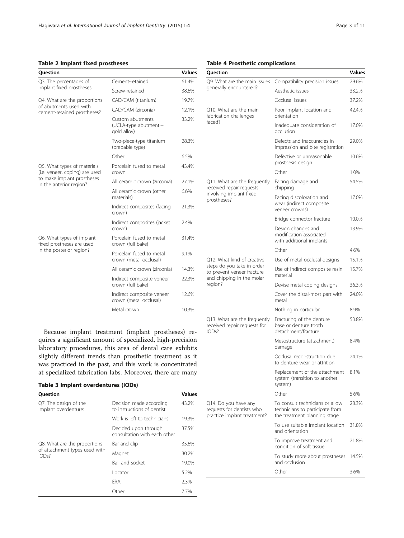## <span id="page-2-0"></span>Table 2 Implant fixed prostheses

| <b>Ouestion</b>                                               |                                                                                                                                                                                                                                                                                                                                                                                                                                                                                                                       | <b>Values</b> |
|---------------------------------------------------------------|-----------------------------------------------------------------------------------------------------------------------------------------------------------------------------------------------------------------------------------------------------------------------------------------------------------------------------------------------------------------------------------------------------------------------------------------------------------------------------------------------------------------------|---------------|
| Q3. The percentages of                                        | Cement-retained                                                                                                                                                                                                                                                                                                                                                                                                                                                                                                       | 61.4%         |
| implant fixed prostheses:                                     | Screw-retained<br>CAD/CAM (titanium)<br>CAD/CAM (zirconia)<br>Custom abutments<br>(UCLA-type abutment +<br>qold alloy)<br>Two-piece-type titanium<br>(prepable type)<br>Other<br>Porcelain fused to metal<br>crown<br>All ceramic crown (zirconia)<br>All ceramic crown (other<br>materials)<br>Indirect composites (facing<br>crown)<br>Indirect composites (jacket<br>crown)<br>Porcelain fused to metal<br>crown (full bake)<br>Porcelain fused to metal<br>crown (metal occlusal)<br>All ceramic crown (zirconia) | 38.6%         |
| Q4. What are the proportions                                  |                                                                                                                                                                                                                                                                                                                                                                                                                                                                                                                       | 19.7%         |
| of abutments used with<br>cement-retained prostheses?         |                                                                                                                                                                                                                                                                                                                                                                                                                                                                                                                       | 12.1%         |
|                                                               |                                                                                                                                                                                                                                                                                                                                                                                                                                                                                                                       | 33.2%         |
|                                                               |                                                                                                                                                                                                                                                                                                                                                                                                                                                                                                                       | 28.3%         |
|                                                               |                                                                                                                                                                                                                                                                                                                                                                                                                                                                                                                       | 6.5%          |
| Q5. What types of materials<br>(i.e. veneer, coping) are used |                                                                                                                                                                                                                                                                                                                                                                                                                                                                                                                       | 43.4%         |
| to make implant prostheses<br>in the anterior region?         |                                                                                                                                                                                                                                                                                                                                                                                                                                                                                                                       | 27.1%         |
|                                                               |                                                                                                                                                                                                                                                                                                                                                                                                                                                                                                                       | 6.6%          |
|                                                               |                                                                                                                                                                                                                                                                                                                                                                                                                                                                                                                       | 21.3%         |
|                                                               |                                                                                                                                                                                                                                                                                                                                                                                                                                                                                                                       | 2.4%          |
| Q6. What types of implant<br>fixed prostheses are used        |                                                                                                                                                                                                                                                                                                                                                                                                                                                                                                                       | 31.4%         |
| in the posterior region?                                      |                                                                                                                                                                                                                                                                                                                                                                                                                                                                                                                       | 9.1%          |
|                                                               |                                                                                                                                                                                                                                                                                                                                                                                                                                                                                                                       | 14.3%         |
|                                                               | Indirect composite veneer<br>crown (full bake)                                                                                                                                                                                                                                                                                                                                                                                                                                                                        | 22.3%         |
|                                                               | Indirect composite veneer<br>crown (metal occlusal)                                                                                                                                                                                                                                                                                                                                                                                                                                                                   | 12.6%         |
|                                                               | Metal crown                                                                                                                                                                                                                                                                                                                                                                                                                                                                                                           | 10.3%         |

Because implant treatment (implant prostheses) requires a significant amount of specialized, high-precision laboratory procedures, this area of dental care exhibits slightly different trends than prosthetic treatment as it was practiced in the past, and this work is concentrated at specialized fabrication labs. Moreover, there are many

|  |  | Table 3 Implant overdentures (IODs) |  |
|--|--|-------------------------------------|--|
|--|--|-------------------------------------|--|

| <b>Ouestion</b>                               |                                                       | <b>Values</b> |
|-----------------------------------------------|-------------------------------------------------------|---------------|
| Q7. The design of the<br>implant overdenture: | Decision made according<br>to instructions of dentist | 43.2%         |
|                                               | Work is left to technicians                           | 19.3%         |
|                                               | Decided upon through<br>consultation with each other  | 37.5%         |
| Q8. What are the proportions                  | Bar and clip                                          | 35.6%         |
| of attachment types used with<br>10DS?        | Magnet                                                | 30.2%         |
|                                               | Ball and socket                                       | 19.0%         |
|                                               | Locator                                               | 5.2%          |
|                                               | <b>FRA</b>                                            | 2.3%          |
|                                               | Other                                                 | 7.7%          |

#### Table 4 Prosthetic complications

| Question                                                                              |                                                                                                    | <b>Values</b> |
|---------------------------------------------------------------------------------------|----------------------------------------------------------------------------------------------------|---------------|
| Q9. What are the main issues                                                          | Compatibility precision issues                                                                     | 29.6%         |
| generally encountered?                                                                | Aesthetic issues                                                                                   | 33.2%         |
|                                                                                       | Occlusal issues                                                                                    | 37.2%         |
| Q10. What are the main<br>fabrication challenges                                      | Poor implant location and<br>orientation                                                           | 42.4%         |
| faced?                                                                                | Inadequate consideration of<br>occlusion                                                           | 17.0%         |
|                                                                                       | Defects and inaccuracies in<br>impression and bite registration                                    | 29.0%         |
|                                                                                       | Defective or unreasonable<br>prosthesis design                                                     | 10.6%         |
|                                                                                       | Other                                                                                              | 1.0%          |
| Q11. What are the frequently<br>received repair requests                              | Facing damage and<br>chipping                                                                      | 54.5%         |
| involving implant fixed<br>prostheses?                                                | Facing discoloration and<br>wear (indirect composite<br>veneer crowns)                             | 17.0%         |
|                                                                                       | Bridge connector fracture                                                                          | 10.0%         |
|                                                                                       | Design changes and<br>modification associated<br>with additional implants                          | 13.9%         |
|                                                                                       | Other                                                                                              | 4.6%          |
| Q12. What kind of creative                                                            | Use of metal occlusal designs                                                                      | 15.1%         |
| steps do you take in order<br>to prevent veneer fracture<br>and chipping in the molar | Use of indirect composite resin<br>material                                                        | 15.7%         |
| region?                                                                               | Devise metal coping designs                                                                        | 36.3%         |
|                                                                                       | Cover the distal-most part with<br>metal                                                           | 24.0%         |
|                                                                                       | Nothing in particular                                                                              | 8.9%          |
| Q13. What are the frequently<br>received repair requests for<br>IODs?                 | Fracturing of the denture<br>base or denture tooth<br>detachment/fracture                          | 53.8%         |
|                                                                                       | Mesostructure (attachment)<br>damage                                                               | 8.4%          |
|                                                                                       | Occlusal reconstruction due<br>to denture wear or attrition                                        | 24.1%         |
|                                                                                       | Replacement of the attachment<br>system (transition to another<br>system)                          | 8.1%          |
|                                                                                       | Other                                                                                              | 5.6%          |
| Q14. Do you have any<br>requests for dentists who<br>practice implant treatment?      | To consult technicians or allow<br>technicians to participate from<br>the treatment planning stage | 28.3%         |
|                                                                                       | To use suitable implant location<br>and orientation                                                | 31.8%         |
|                                                                                       | To improve treatment and<br>condition of soft tissue                                               | 21.8%         |
|                                                                                       | To study more about prostheses<br>and occlusion                                                    | 14.5%         |
|                                                                                       | Other                                                                                              | 3.6%          |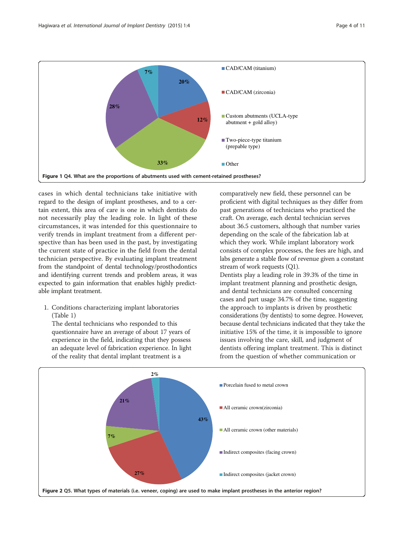<span id="page-3-0"></span>

cases in which dental technicians take initiative with regard to the design of implant prostheses, and to a certain extent, this area of care is one in which dentists do not necessarily play the leading role. In light of these circumstances, it was intended for this questionnaire to verify trends in implant treatment from a different perspective than has been used in the past, by investigating the current state of practice in the field from the dental technician perspective. By evaluating implant treatment from the standpoint of dental technology/prosthodontics and identifying current trends and problem areas, it was expected to gain information that enables highly predictable implant treatment.

1. Conditions characterizing implant laboratories (Table [1\)](#page-1-0)

The dental technicians who responded to this questionnaire have an average of about 17 years of experience in the field, indicating that they possess an adequate level of fabrication experience. In light of the reality that dental implant treatment is a

comparatively new field, these personnel can be proficient with digital techniques as they differ from past generations of technicians who practiced the craft. On average, each dental technician serves about 36.5 customers, although that number varies depending on the scale of the fabrication lab at which they work. While implant laboratory work consists of complex processes, the fees are high, and labs generate a stable flow of revenue given a constant stream of work requests (Q1). Dentists play a leading role in 39.3% of the time in implant treatment planning and prosthetic design, and dental technicians are consulted concerning cases and part usage 34.7% of the time, suggesting the approach to implants is driven by prosthetic considerations (by dentists) to some degree. However, because dental technicians indicated that they take the initiative 15% of the time, it is impossible to ignore issues involving the care, skill, and judgment of dentists offering implant treatment. This is distinct from the question of whether communication or

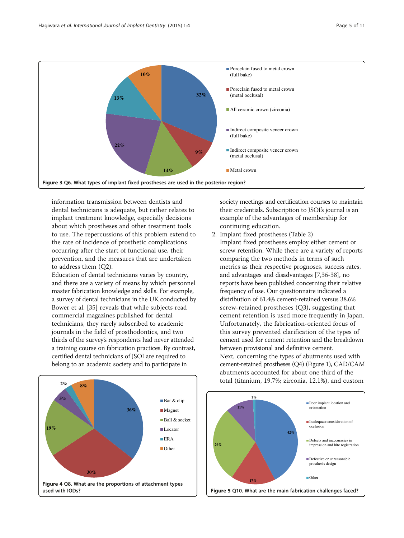<span id="page-4-0"></span>

information transmission between dentists and dental technicians is adequate, but rather relates to implant treatment knowledge, especially decisions about which prostheses and other treatment tools to use. The repercussions of this problem extend to the rate of incidence of prosthetic complications occurring after the start of functional use, their prevention, and the measures that are undertaken to address them (Q2).

Education of dental technicians varies by country, and there are a variety of means by which personnel master fabrication knowledge and skills. For example, a survey of dental technicians in the UK conducted by Bower et al. [\[35\]](#page-10-0) reveals that while subjects read commercial magazines published for dental technicians, they rarely subscribed to academic journals in the field of prosthodontics, and two thirds of the survey's respondents had never attended a training course on fabrication practices. By contrast, certified dental technicians of JSOI are required to belong to an academic society and to participate in



society meetings and certification courses to maintain their credentials. Subscription to JSOI's journal is an example of the advantages of membership for continuing education.

2. Implant fixed prostheses (Table [2\)](#page-2-0) Implant fixed prostheses employ either cement or screw retention. While there are a variety of reports comparing the two methods in terms of such metrics as their respective prognoses, success rates, and advantages and disadvantages [\[7](#page-9-0)[,36-38](#page-10-0)], no reports have been published concerning their relative frequency of use. Our questionnaire indicated a distribution of 61.4% cement-retained versus 38.6% screw-retained prostheses (Q3), suggesting that cement retention is used more frequently in Japan. Unfortunately, the fabrication-oriented focus of this survey prevented clarification of the types of cement used for cement retention and the breakdown between provisional and definitive cement. Next, concerning the types of abutments used with cement-retained prostheses (Q4) (Figure [1](#page-3-0)), CAD/CAM abutments accounted for about one third of the total (titanium, 19.7%; zirconia, 12.1%), and custom

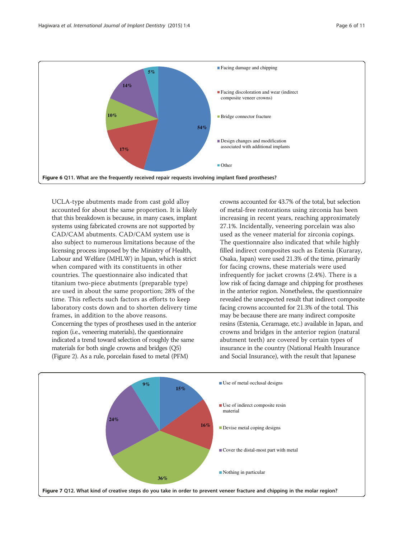<span id="page-5-0"></span>

UCLA-type abutments made from cast gold alloy accounted for about the same proportion. It is likely that this breakdown is because, in many cases, implant systems using fabricated crowns are not supported by CAD/CAM abutments. CAD/CAM system use is also subject to numerous limitations because of the licensing process imposed by the Ministry of Health, Labour and Welfare (MHLW) in Japan, which is strict when compared with its constituents in other countries. The questionnaire also indicated that titanium two-piece abutments (preparable type) are used in about the same proportion; 28% of the time. This reflects such factors as efforts to keep laboratory costs down and to shorten delivery time frames, in addition to the above reasons. Concerning the types of prostheses used in the anterior region (i.e., veneering materials), the questionnaire indicated a trend toward selection of roughly the same materials for both single crowns and bridges (Q5) (Figure [2\)](#page-3-0). As a rule, porcelain fused to metal (PFM)

crowns accounted for 43.7% of the total, but selection of metal-free restorations using zirconia has been increasing in recent years, reaching approximately 27.1%. Incidentally, veneering porcelain was also used as the veneer material for zirconia copings. The questionnaire also indicated that while highly filled indirect composites such as Estenia (Kuraray, Osaka, Japan) were used 21.3% of the time, primarily for facing crowns, these materials were used infrequently for jacket crowns (2.4%). There is a low risk of facing damage and chipping for prostheses in the anterior region. Nonetheless, the questionnaire revealed the unexpected result that indirect composite facing crowns accounted for 21.3% of the total. This may be because there are many indirect composite resins (Estenia, Ceramage, etc.) available in Japan, and crowns and bridges in the anterior region (natural abutment teeth) are covered by certain types of insurance in the country (National Health Insurance and Social Insurance), with the result that Japanese

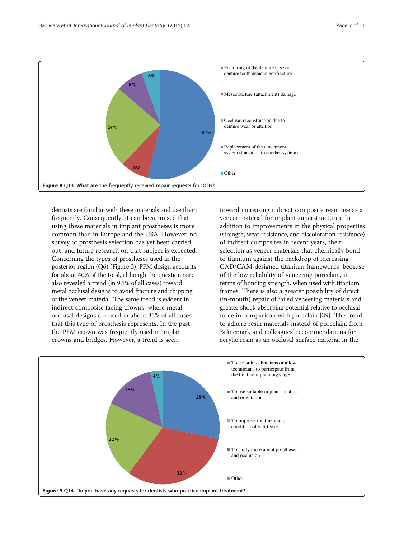<span id="page-6-0"></span>

dentists are familiar with these materials and use them frequently. Consequently, it can be surmised that using these materials in implant prostheses is more common than in Europe and the USA. However, no survey of prosthesis selection has yet been carried out, and future research on that subject is expected. Concerning the types of prostheses used in the posterior region (Q6) (Figure [3\)](#page-4-0), PFM design accounts for about 40% of the total, although the questionnaire also revealed a trend (in 9.1% of all cases) toward metal occlusal designs to avoid fracture and chipping of the veneer material. The same trend is evident in indirect composite facing crowns, where metal occlusal designs are used in about 35% of all cases that this type of prosthesis represents. In the past, the PFM crown was frequently used in implant crowns and bridges. However, a trend is seen

toward increasing indirect composite resin use as a veneer material for implant superstructures. In addition to improvements in the physical properties (strength, wear resistance, and discoloration resistance) of indirect composites in recent years, their selection as veneer materials that chemically bond to titanium against the backdrop of increasing CAD/CAM-designed titanium frameworks, because of the low reliability of veneering porcelain, in terms of bonding strength, when used with titanium frames. There is also a greater possibility of direct (in-mouth) repair of failed veneering materials and greater shock-absorbing potential relative to occlusal force in comparison with porcelain [[39\]](#page-10-0). The trend to adhere resin materials instead of porcelain, from Brånemark and colleagues' recommendations for acrylic resin as an occlusal surface material in the

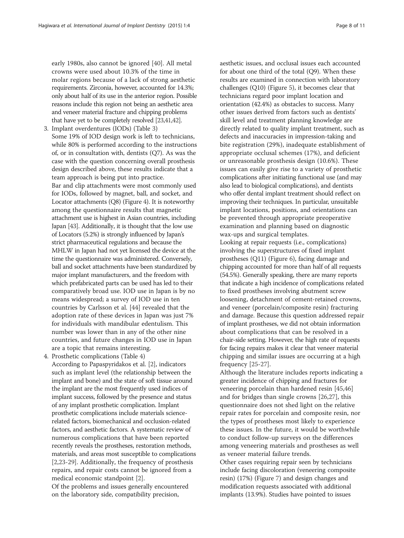early 1980s, also cannot be ignored [[40\]](#page-10-0). All metal crowns were used about 10.3% of the time in molar regions because of a lack of strong aesthetic requirements. Zirconia, however, accounted for 14.3%; only about half of its use in the anterior region. Possible reasons include this region not being an aesthetic area and veneer material fracture and chipping problems that have yet to be completely resolved [\[23](#page-9-0)[,41,42\]](#page-10-0).

- 3. Implant overdentures (IODs) (Table [3](#page-2-0)) Some 19% of IOD design work is left to technicians, while 80% is performed according to the instructions of, or in consultation with, dentists (Q7). As was the case with the question concerning overall prosthesis design described above, these results indicate that a team approach is being put into practice. Bar and clip attachments were most commonly used for IODs, followed by magnet, ball, and socket, and Locator attachments (Q8) (Figure [4](#page-4-0)). It is noteworthy among the questionnaire results that magnetic attachment use is highest in Asian countries, including Japan [\[43](#page-10-0)]. Additionally, it is thought that the low use of Locators (5.2%) is strongly influenced by Japan's strict pharmaceutical regulations and because the MHLW in Japan had not yet licensed the device at the time the questionnaire was administered. Conversely, ball and socket attachments have been standardized by major implant manufacturers, and the freedom with which prefabricated parts can be used has led to their comparatively broad use. IOD use in Japan is by no means widespread; a survey of IOD use in ten countries by Carlsson et al. [\[44\]](#page-10-0) revealed that the adoption rate of these devices in Japan was just 7% for individuals with mandibular edentulism. This number was lower than in any of the other nine countries, and future changes in IOD use in Japan are a topic that remains interesting.
- 4. Prosthetic complications (Table [4](#page-2-0)) According to Papaspyridakos et al. [[2](#page-9-0)], indicators such as implant level (the relationship between the implant and bone) and the state of soft tissue around the implant are the most frequently used indices of implant success, followed by the presence and status of any implant prosthetic complication. Implant prosthetic complications include materials sciencerelated factors, biomechanical and occlusion-related factors, and aesthetic factors. A systematic review of numerous complications that have been reported recently reveals the prostheses, restoration methods, materials, and areas most susceptible to complications [[2](#page-9-0),[23-29\]](#page-9-0). Additionally, the frequency of prosthesis repairs, and repair costs cannot be ignored from a medical economic standpoint [\[2](#page-9-0)].

Of the problems and issues generally encountered on the laboratory side, compatibility precision,

aesthetic issues, and occlusal issues each accounted for about one third of the total (Q9). When these results are examined in connection with laboratory challenges (Q10) (Figure [5](#page-4-0)), it becomes clear that technicians regard poor implant location and orientation (42.4%) as obstacles to success. Many other issues derived from factors such as dentists' skill level and treatment planning knowledge are directly related to quality implant treatment, such as defects and inaccuracies in impression-taking and bite registration (29%), inadequate establishment of appropriate occlusal schemes (17%), and deficient or unreasonable prosthesis design (10.6%). These issues can easily give rise to a variety of prosthetic complications after initiating functional use (and may also lead to biological complications), and dentists who offer dental implant treatment should reflect on improving their techniques. In particular, unsuitable implant locations, positions, and orientations can be prevented through appropriate preoperative examination and planning based on diagnostic wax-ups and surgical templates.

Looking at repair requests (i.e., complications) involving the superstructures of fixed implant prostheses (Q11) (Figure [6\)](#page-5-0), facing damage and chipping accounted for more than half of all requests (54.5%). Generally speaking, there are many reports that indicate a high incidence of complications related to fixed prostheses involving abutment screw loosening, detachment of cement-retained crowns, and veneer (porcelain/composite resin) fracturing and damage. Because this question addressed repair of implant prostheses, we did not obtain information about complications that can be resolved in a chair-side setting. However, the high rate of requests for facing repairs makes it clear that veneer material chipping and similar issues are occurring at a high frequency [[25-27](#page-9-0)].

Although the literature includes reports indicating a greater incidence of chipping and fractures for veneering porcelain than hardened resin [\[45,46](#page-10-0)] and for bridges than single crowns [[26,27\]](#page-9-0), this questionnaire does not shed light on the relative repair rates for porcelain and composite resin, nor the types of prostheses most likely to experience these issues. In the future, it would be worthwhile to conduct follow-up surveys on the differences among veneering materials and prostheses as well as veneer material failure trends.

Other cases requiring repair seen by technicians include facing discoloration (veneering composite resin) (17%) (Figure [7\)](#page-5-0) and design changes and modification requests associated with additional implants (13.9%). Studies have pointed to issues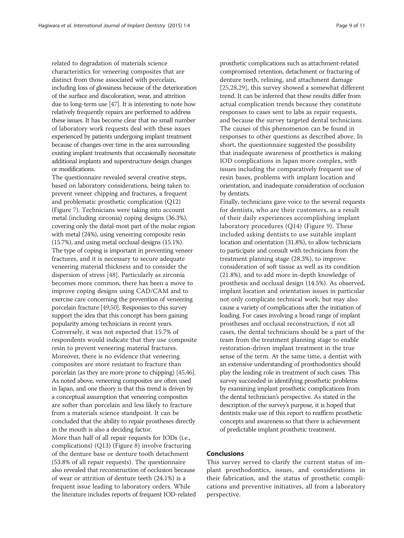related to degradation of materials science characteristics for veneering composites that are distinct from those associated with porcelain, including loss of glossiness because of the deterioration of the surface and discoloration, wear, and attrition due to long-term use [[47\]](#page-10-0). It is interesting to note how relatively frequently repairs are performed to address these issues. It has become clear that no small number of laboratory work requests deal with these issues experienced by patients undergoing implant treatment because of changes over time in the area surrounding existing implant treatments that occasionally necessitate additional implants and superstructure design changes or modifications.

The questionnaire revealed several creative steps, based on laboratory considerations, being taken to prevent veneer chipping and fractures, a frequent and problematic prosthetic complication (Q12) (Figure [7](#page-5-0)). Technicians were taking into account metal (including zirconia) coping designs (36.3%), covering only the distal-most part of the molar region with metal (24%), using veneering composite resin (15.7%), and using metal occlusal designs (15.1%). The type of coping is important in preventing veneer fractures, and it is necessary to secure adequate veneering material thickness and to consider the dispersion of stress [[48\]](#page-10-0). Particularly as zirconia becomes more common, there has been a move to improve coping designs using CAD/CAM and to exercise care concerning the prevention of veneering porcelain fracture [\[49,50](#page-10-0)]. Responses to this survey support the idea that this concept has been gaining popularity among technicians in recent years. Conversely, it was not expected that 15.7% of respondents would indicate that they use composite resin to prevent veneering material fractures. Moreover, there is no evidence that veneering composites are more resistant to fracture than porcelain (as they are more prone to chipping) [\[45,46\]](#page-10-0). As noted above, veneering composites are often used in Japan, and one theory is that this trend is driven by a conceptual assumption that veneering composites are softer than porcelain and less likely to fracture from a materials science standpoint. It can be concluded that the ability to repair prostheses directly in the mouth is also a deciding factor. More than half of all repair requests for IODs (i.e., complications) (Q13) (Figure [8](#page-6-0)) involve fracturing of the denture base or denture tooth detachment (53.8% of all repair requests). The questionnaire also revealed that reconstruction of occlusion because of wear or attrition of denture teeth (24.1%) is a frequent issue leading to laboratory orders. While the literature includes reports of frequent IOD-related

prosthetic complications such as attachment-related compromised retention, detachment or fracturing of denture teeth, relining, and attachment damage [[25](#page-9-0),[28](#page-9-0),[29](#page-9-0)], this survey showed a somewhat different trend. It can be inferred that these results differ from actual complication trends because they constitute responses to cases sent to labs as repair requests, and because the survey targeted dental technicians. The causes of this phenomenon can be found in responses to other questions as described above. In short, the questionnaire suggested the possibility that inadequate awareness of prosthetics is making IOD complications in Japan more complex, with issues including the comparatively frequent use of resin bases, problems with implant location and orientation, and inadequate consideration of occlusion by dentists.

Finally, technicians gave voice to the several requests for dentists, who are their customers, as a result of their daily experiences accomplishing implant laboratory procedures (Q14) (Figure [9\)](#page-6-0). These included asking dentists to use suitable implant location and orientation (31.8%), to allow technicians to participate and consult with technicians from the treatment planning stage (28.3%), to improve consideration of soft tissue as well as its condition (21.8%), and to add more in-depth knowledge of prosthesis and occlusal design (14.5%). As observed, implant location and orientation issues in particular not only complicate technical work, but may also cause a variety of complications after the initiation of loading. For cases involving a broad range of implant prostheses and occlusal reconstruction, if not all cases, the dental technicians should be a part of the team from the treatment planning stage to enable restoration-driven implant treatment in the true sense of the term. At the same time, a dentist with an extensive understanding of prosthodontics should play the leading role in treatment of such cases. This survey succeeded in identifying prosthetic problems by examining implant prosthetic complications from the dental technician's perspective. As stated in the description of the survey's purpose, it is hoped that dentists make use of this report to reaffirm prosthetic concepts and awareness so that there is achievement of predictable implant prosthetic treatment.

### Conclusions

This survey served to clarify the current status of implant prosthodontics, issues, and considerations in their fabrication, and the status of prosthetic complications and preventive initiatives, all from a laboratory perspective.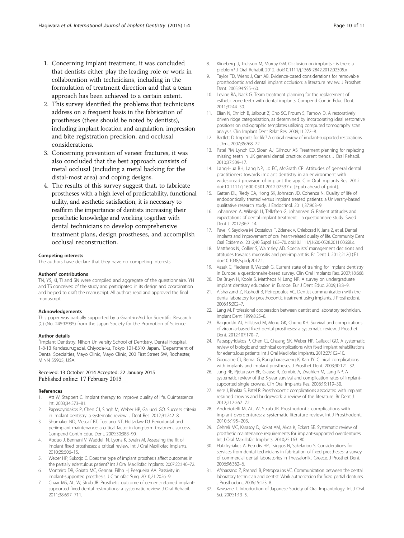- <span id="page-9-0"></span>1. Concerning implant treatment, it was concluded that dentists either play the leading role or work in collaboration with technicians, including in the formulation of treatment direction and that a team approach has been achieved to a certain extent.
- 2. This survey identified the problems that technicians address on a frequent basis in the fabrication of prostheses (these should be noted by dentists), including implant location and angulation, impression and bite registration precision, and occlusal considerations.
- 3. Concerning prevention of veneer fractures, it was also concluded that the best approach consists of metal occlusal (including a metal backing for the distal-most area) and coping designs.
- 4. The results of this survey suggest that, to fabricate prostheses with a high level of predictability, functional utility, and aesthetic satisfaction, it is necessary to reaffirm the importance of dentists increasing their prosthetic knowledge and working together with dental technicians to develop comprehensive treatment plans, design prostheses, and accomplish occlusal reconstruction.

#### Competing interests

The authors have declare that they have no competing interests.

#### Authors' contributions

TN, YS, KI, TI and SN were compiled and aggregate of the questionnaire. YH and TS conceived of the study and participated in its design and coordination and helped to draft the manuscript. All authors read and approved the final manuscript.

#### Acknowledgements

This paper was partially supported by a Grant-in-Aid for Scientific Research (C) (No. 24592935) from the Japan Society for the Promotion of Science.

#### Author details

<sup>1</sup>Implant Dentistry, Nihon University School of Dentistry, Dental Hospital, 1-8-13 Kandasurugadai, Chiyoda-ku, Tokyo 101-8310, Japan. <sup>2</sup>Department of Dental Specialties, Mayo Clinic, Mayo Clinic, 200 First Street SW, Rochester, MINN 55905, USA.

# Received: 13 October 2014 Accepted: 22 January 2015

#### References

- Att W, Stappert C. Implant therapy to improve quality of life. Quintessence Int. 2003;34:573–81.
- 2. Papaspyridakos P, Chen CJ, Singh M, Weber HP, Gallucci GO. Success criteria in implant dentistry: a systematic review. J Dent Res. 2012;91:242–8.
- 3. Shumaker ND, Metcalf BT, Toscano NT, Holtzclaw DJ. Periodontal and periimplant maintenance: a critical factor in long-term treatment success. Compend Contin Educ Dent. 2009;30:388–90.
- 4. Abduo J, Bennani V, Waddell N, Lyons K, Swain M. Assessing the fit of implant fixed prostheses: a critical review. Int J Oral Maxillofac Implants. 2010;25:506–15.
- 5. Weber HP, Sukotjo C. Does the type of implant prosthesis affect outcomes in the partially edentulous patient? Int J Oral Maxillofac Implants. 2007;22:140–72.
- 6. Monteiro DR, Goiato MC, Gennari Filho H, Pesqueira AA. Passivity in implant-supported prosthesis. J Craniofac Surg. 2010;21:2026–9.
- 7. Chaar MS, Att W, Strub JR. Prosthetic outcome of cement-retained implantsupported fixed dental restorations: a systematic review. J Oral Rehabil. 2011;38:697–711.
- 8. Klineberg IJ, Trulsson M, Murray GM. Occlusion on implants is there a problem? J Oral Rehabil. 2012. doi:10.1111/j.1365-2842.2012.02305.x
- 9. Taylor TD, Wiens J, Carr AB. Evidence-based considerations for removable prosthodontic and dental implant occlusion: a literature review. J Prosthet Dent. 2005;94:555–60.
- 10. Levine RA, Nack G. Team treatment planning for the replacement of esthetic zone teeth with dental implants. Compend Contin Educ Dent. 2011;32:44–50.
- 11. Elian N, Ehrlich B, Jalbout Z, Cho SC, Froum S, Tarnow D. A restoratively driven ridge categorization, as determined by incorporating ideal restorative positions on radiographic templates utilizing computed tomography scan analysis. Clin Implant Dent Relat Res. 2009;11:272–8.
- 12. Bartlett D. Implants for life? A critical review of implant-supported restorations. J Dent. 2007;35:768–72.
- 13. Patel PM, Lynch CD, Sloan AJ, Gilmour AS. Treatment planning for replacing missing teeth in UK general dental practice: current trends. J Oral Rehabil. 2010;37:509–17.
- 14. Lang-Hua BH, Lang NP, Lo EC, McGrath CP. Attitudes of general dental practitioners towards implant dentistry in an environment with widespread provision of implant therapy. Clin Oral Implants Res. 2012. doi:10.1111/j.1600-0501.2012.02537.x. [Epub ahead of print].
- 15. Gatten DL, Riedy CA, Hong SK, Johnson JD, Cohenca N. Quality of life of endodontically treated versus implant treated patients: a University-based qualitative research study. J Endocrinol. 2011;37:903–9.
- 16. Johannsen A, Wikesjö U, Tellefsen G, Johannsen G. Patient attitudes and expectations of dental implant treatment—a questionnaire study. Swed Dent J. 2012;36:7–14.
- 17. Pavel K, Seydlova M, Dostalova T, Zdenek V, Chleborad K, Jana Z, et al. Dental implants and improvement of oral health-related quality of life. Community Dent Oral Epidemiol. 2012;40 Suppl 1:65–70. doi:10.1111/j.1600-0528.2011.00668.x.
- 18. Mattheos N, Collier S, Walmsley AD. Specialists' management decisions and attitudes towards mucositis and peri-implantitis. Br Dent J. 2012;212(1):E1. doi:10.1038/sj.bdj.2012.1.
- 19. Vasak C, Fiederer R, Watzek G. Current state of training for implant dentistry in Europe: a questionnaire-based survey. Clin Oral Implants Res. 2007;18:668.
- 20. De Bruyn H, Koole S, Mattheos N, Lang NP. A survey on undergraduate implant dentistry education in Europe. Eur J Dent Educ. 2009;13:3–9.
- 21. Afsharzand Z, Rashedi B, Petropoulos VC. Dentist communication with the dental laboratory for prosthodontic treatment using implants. J Prosthodont. 2006;15:202–7.
- 22. Lang M. Professional cooperation between dentist and laboratory technician. Implant Dent. 1999;8:25–8.
- 23. Raigrodski AJ, Hillstead M, Meng GK, Chung KH. Survival and complications of zirconia-based fixed dental prostheses: a systematic review. J Prosthet Dent. 2012;107:170–7.
- 24. Papaspyridakos P, Chen CJ, Chuang SK, Weber HP, Gallucci GO. A systematic review of biologic and technical complications with fixed implant rehabilitations for edentulous patients. Int J Oral Maxillofac Implants. 2012;27:102–10.
- 25. Goodacre CJ, Bernal G, Rungcharassaeng K, Kan JY. Clinical complications with implants and implant prostheses. J Prosthet Dent. 2003;90:121–32.
- 26. Jung RE, Pjetursson BE, Glause R, Zembic A, Zwahlen M, Lang NP. A systematic review of the 5-year survival and complication rates of implantsupported single crowns. Clin Oral Implants Res. 2008;19:119–30.
- 27. Vere J, Bhakta S, Patel R. Prosthodontic complications associated with implant retained crowns and bridgework: a review of the literature. Br Dent J. 2012;212:267–72.
- 28. Andreiotelli M, Att W, Strub JR. Prosthodontic complications with implant overdentures: a systematic literature review. Int J Prosthodont. 2010;3:195–203.
- 29. Cehreli MC, Karasoy D, Kokat AM, Akca K, Eckert SE. Systematic review of prosthetic maintenance requirements for implant-supported overdentures. Int J Oral Maxillofac Implants. 2010;25:163–80.
- 30. Hatzikyriakos A, Petridis HP, Tsiggos N, Sakelariou S. Considerations for services from dental technicians in fabrication of fixed prostheses: a survey of commercial dental laboratories in Thessaloniki, Greece. J Prosthet Dent. 2006;96:362–6.
- 31. Afsharzand Z, Rashedi B, Petropoulos VC. Communication between the dental laboratory technician and dentist: Work authorization for fixed partial dentures. J Prosthodont. 2006;15:123–8.
- 32. Kawazoe T. Introduction of Japanese Society of Oral Implantology. Int J Oral Sci. 2009;1:13–5.